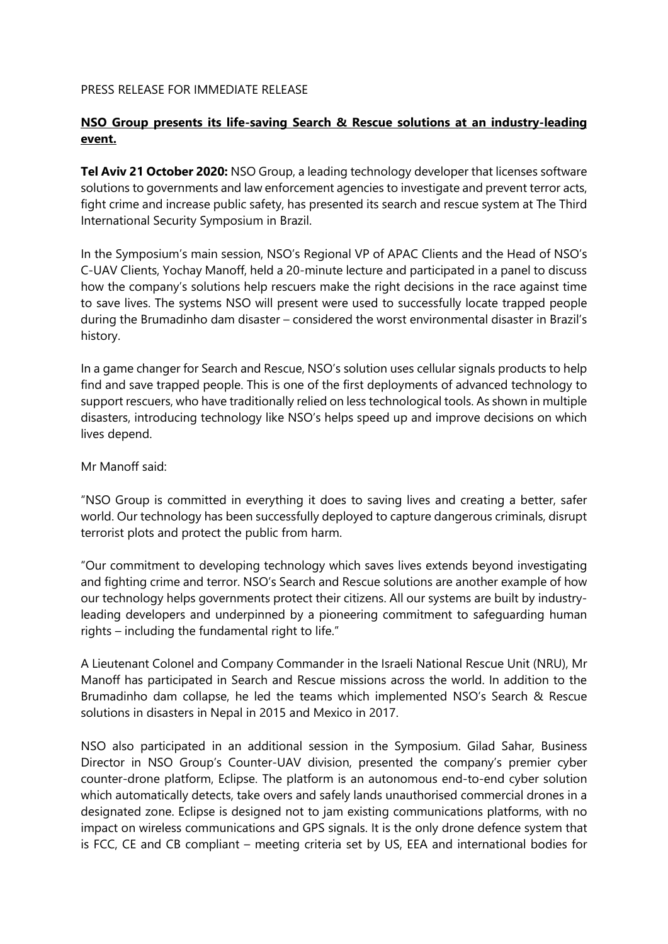### PRESS RELEASE FOR IMMEDIATE RELEASE

## **NSO Group presents its life-saving Search & Rescue solutions at an industry-leading event.**

**Tel Aviv 21 October 2020:** NSO Group, a leading technology developer that licenses software solutions to governments and law enforcement agencies to investigate and prevent terror acts, fight crime and increase public safety, has presented its search and rescue system at The Third International Security Symposium in Brazil.

In the Symposium's main session, NSO's Regional VP of APAC Clients and the Head of NSO's C-UAV Clients, Yochay Manoff, held a 20-minute lecture and participated in a panel to discuss how the company's solutions help rescuers make the right decisions in the race against time to save lives. The systems NSO will present were used to successfully locate trapped people during the Brumadinho dam disaster – considered the worst environmental disaster in Brazil's history.

In a game changer for Search and Rescue, NSO's solution uses cellular signals products to help find and save trapped people. This is one of the first deployments of advanced technology to support rescuers, who have traditionally relied on less technological tools. As shown in multiple disasters, introducing technology like NSO's helps speed up and improve decisions on which lives depend.

Mr Manoff said:

"NSO Group is committed in everything it does to saving lives and creating a better, safer world. Our technology has been successfully deployed to capture dangerous criminals, disrupt terrorist plots and protect the public from harm.

"Our commitment to developing technology which saves lives extends beyond investigating and fighting crime and terror. NSO's Search and Rescue solutions are another example of how our technology helps governments protect their citizens. All our systems are built by industryleading developers and underpinned by a pioneering commitment to safeguarding human rights – including the fundamental right to life."

A Lieutenant Colonel and Company Commander in the Israeli National Rescue Unit (NRU), Mr Manoff has participated in Search and Rescue missions across the world. In addition to the Brumadinho dam collapse, he led the teams which implemented NSO's Search & Rescue solutions in disasters in Nepal in 2015 and Mexico in 2017.

NSO also participated in an additional session in the Symposium. Gilad Sahar, Business Director in NSO Group's Counter-UAV division, presented the company's premier cyber counter-drone platform, Eclipse. The platform is an autonomous end-to-end cyber solution which automatically detects, take overs and safely lands unauthorised commercial drones in a designated zone. Eclipse is designed not to jam existing communications platforms, with no impact on wireless communications and GPS signals. It is the only drone defence system that is FCC, CE and CB compliant – meeting criteria set by US, EEA and international bodies for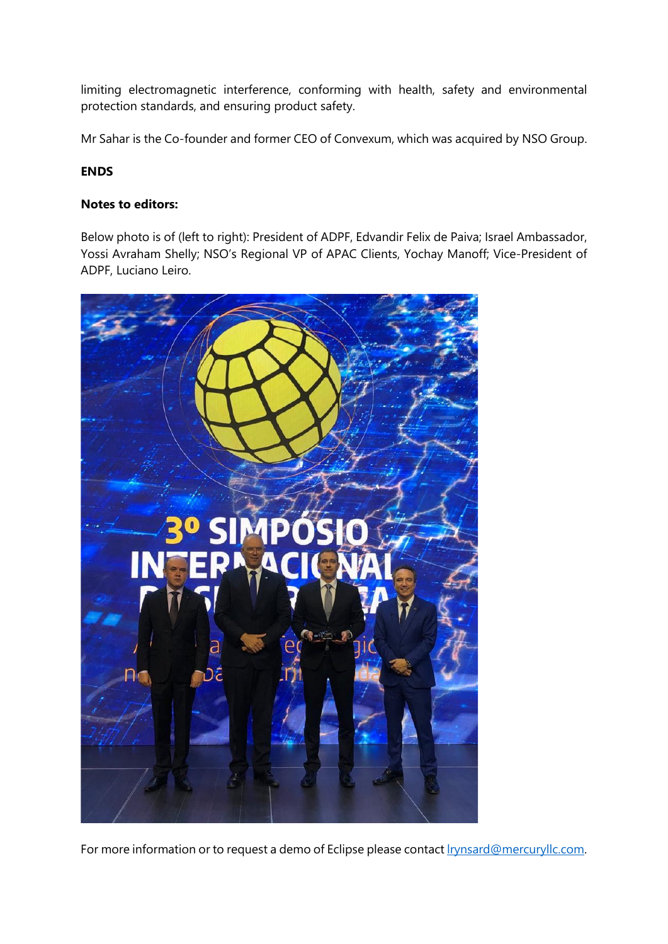limiting electromagnetic interference, conforming with health, safety and environmental protection standards, and ensuring product safety.

Mr Sahar is the Co-founder and former CEO of Convexum, which was acquired by NSO Group.

### **ENDS**

### **Notes to editors:**

Below photo is of (left to right): President of ADPF, Edvandir Felix de Paiva; Israel Ambassador, Yossi Avraham Shelly; NSO's Regional VP of APAC Clients, Yochay Manoff; Vice-President of ADPF, Luciano Leiro.



For more information or to request a demo of Eclipse please contact *Irynsard@mercuryllc.com.*